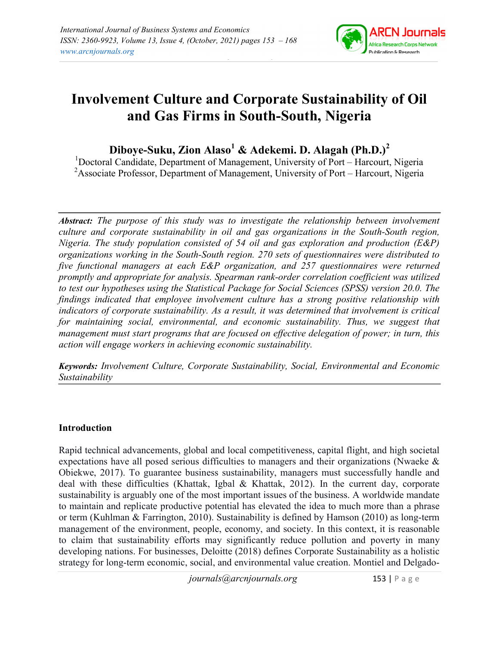

# Involvement Culture and Corporate Sustainability of Oil and Gas Firms in South-South, Nigeria

Diboye-Suku, Zion Alaso $^1$  & Adekemi. D. Alagah (Ph.D.) $^2$ 

<sup>1</sup>Doctoral Candidate, Department of Management, University of Port – Harcourt, Nigeria <sup>2</sup>Associate Professor, Department of Management, University of Port – Harcourt, Nigeria

Abstract: The purpose of this study was to investigate the relationship between involvement culture and corporate sustainability in oil and gas organizations in the South-South region, Nigeria. The study population consisted of 54 oil and gas exploration and production (E&P) organizations working in the South-South region. 270 sets of questionnaires were distributed to five functional managers at each E&P organization, and 257 questionnaires were returned promptly and appropriate for analysis. Spearman rank-order correlation coefficient was utilized to test our hypotheses using the Statistical Package for Social Sciences (SPSS) version 20.0. The findings indicated that employee involvement culture has a strong positive relationship with indicators of corporate sustainability. As a result, it was determined that involvement is critical for maintaining social, environmental, and economic sustainability. Thus, we suggest that management must start programs that are focused on effective delegation of power; in turn, this action will engage workers in achieving economic sustainability.

Keywords: Involvement Culture, Corporate Sustainability, Social, Environmental and Economic Sustainability

# Introduction

Rapid technical advancements, global and local competitiveness, capital flight, and high societal expectations have all posed serious difficulties to managers and their organizations (Nwaeke & Obiekwe, 2017). To guarantee business sustainability, managers must successfully handle and deal with these difficulties (Khattak, Igbal & Khattak, 2012). In the current day, corporate sustainability is arguably one of the most important issues of the business. A worldwide mandate to maintain and replicate productive potential has elevated the idea to much more than a phrase or term (Kuhlman & Farrington, 2010). Sustainability is defined by Hamson (2010) as long-term management of the environment, people, economy, and society. In this context, it is reasonable to claim that sustainability efforts may significantly reduce pollution and poverty in many developing nations. For businesses, Deloitte (2018) defines Corporate Sustainability as a holistic strategy for long-term economic, social, and environmental value creation. Montiel and Delgado-

journals@arcnjournals.org 153 | P a g e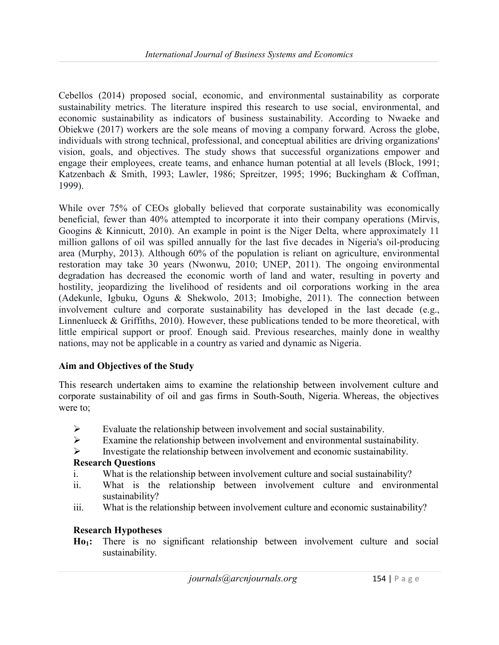Cebellos (2014) proposed social, economic, and environmental sustainability as corporate sustainability metrics. The literature inspired this research to use social, environmental, and economic sustainability as indicators of business sustainability. According to Nwaeke and Obiekwe (2017) workers are the sole means of moving a company forward. Across the globe, individuals with strong technical, professional, and conceptual abilities are driving organizations' vision, goals, and objectives. The study shows that successful organizations empower and engage their employees, create teams, and enhance human potential at all levels (Block, 1991; Katzenbach & Smith, 1993; Lawler, 1986; Spreitzer, 1995; 1996; Buckingham & Coffman, 1999).

While over 75% of CEOs globally believed that corporate sustainability was economically beneficial, fewer than 40% attempted to incorporate it into their company operations (Mirvis, Googins & Kinnicutt, 2010). An example in point is the Niger Delta, where approximately 11 million gallons of oil was spilled annually for the last five decades in Nigeria's oil-producing area (Murphy, 2013). Although 60% of the population is reliant on agriculture, environmental restoration may take 30 years (Nwonwu, 2010; UNEP, 2011). The ongoing environmental degradation has decreased the economic worth of land and water, resulting in poverty and hostility, jeopardizing the livelihood of residents and oil corporations working in the area (Adekunle, Igbuku, Oguns & Shekwolo, 2013; Imobighe, 2011). The connection between involvement culture and corporate sustainability has developed in the last decade (e.g., Linnenlueck & Griffiths, 2010). However, these publications tended to be more theoretical, with little empirical support or proof. Enough said. Previous researches, mainly done in wealthy nations, may not be applicable in a country as varied and dynamic as Nigeria.

#### Aim and Objectives of the Study

This research undertaken aims to examine the relationship between involvement culture and corporate sustainability of oil and gas firms in South-South, Nigeria. Whereas, the objectives were to;

- $\triangleright$  Evaluate the relationship between involvement and social sustainability.
- $\triangleright$  Examine the relationship between involvement and environmental sustainability.
- $\triangleright$  Investigate the relationship between involvement and economic sustainability.

#### Research Questions

- i. What is the relationship between involvement culture and social sustainability?
- ii. What is the relationship between involvement culture and environmental sustainability?
- iii. What is the relationship between involvement culture and economic sustainability?

#### Research Hypotheses

Ho<sub>1</sub>: There is no significant relationship between involvement culture and social sustainability.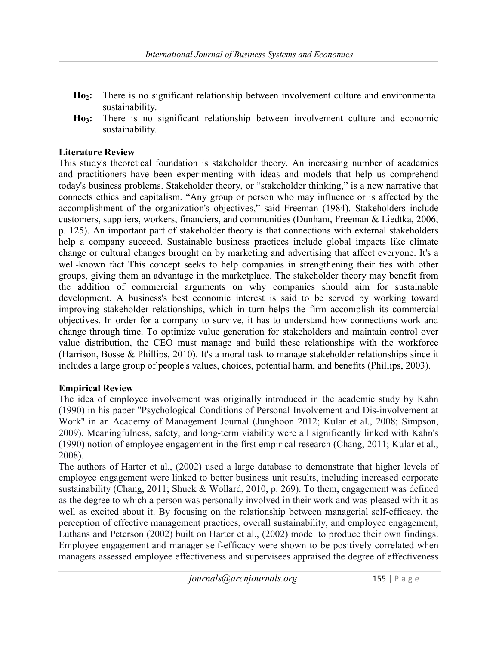- Ho2: There is no significant relationship between involvement culture and environmental sustainability.
- Ho<sub>3</sub>: There is no significant relationship between involvement culture and economic sustainability.

## Literature Review

This study's theoretical foundation is stakeholder theory. An increasing number of academics and practitioners have been experimenting with ideas and models that help us comprehend today's business problems. Stakeholder theory, or "stakeholder thinking," is a new narrative that connects ethics and capitalism. "Any group or person who may influence or is affected by the accomplishment of the organization's objectives," said Freeman (1984). Stakeholders include customers, suppliers, workers, financiers, and communities (Dunham, Freeman & Liedtka, 2006, p. 125). An important part of stakeholder theory is that connections with external stakeholders help a company succeed. Sustainable business practices include global impacts like climate change or cultural changes brought on by marketing and advertising that affect everyone. It's a well-known fact This concept seeks to help companies in strengthening their ties with other groups, giving them an advantage in the marketplace. The stakeholder theory may benefit from the addition of commercial arguments on why companies should aim for sustainable development. A business's best economic interest is said to be served by working toward improving stakeholder relationships, which in turn helps the firm accomplish its commercial objectives. In order for a company to survive, it has to understand how connections work and change through time. To optimize value generation for stakeholders and maintain control over value distribution, the CEO must manage and build these relationships with the workforce (Harrison, Bosse & Phillips, 2010). It's a moral task to manage stakeholder relationships since it includes a large group of people's values, choices, potential harm, and benefits (Phillips, 2003).

#### Empirical Review

The idea of employee involvement was originally introduced in the academic study by Kahn (1990) in his paper "Psychological Conditions of Personal Involvement and Dis-involvement at Work" in an Academy of Management Journal (Junghoon 2012; Kular et al., 2008; Simpson, 2009). Meaningfulness, safety, and long-term viability were all significantly linked with Kahn's (1990) notion of employee engagement in the first empirical research (Chang, 2011; Kular et al., 2008).

The authors of Harter et al., (2002) used a large database to demonstrate that higher levels of employee engagement were linked to better business unit results, including increased corporate sustainability (Chang, 2011; Shuck & Wollard, 2010, p. 269). To them, engagement was defined as the degree to which a person was personally involved in their work and was pleased with it as well as excited about it. By focusing on the relationship between managerial self-efficacy, the perception of effective management practices, overall sustainability, and employee engagement, Luthans and Peterson (2002) built on Harter et al., (2002) model to produce their own findings. Employee engagement and manager self-efficacy were shown to be positively correlated when managers assessed employee effectiveness and supervisees appraised the degree of effectiveness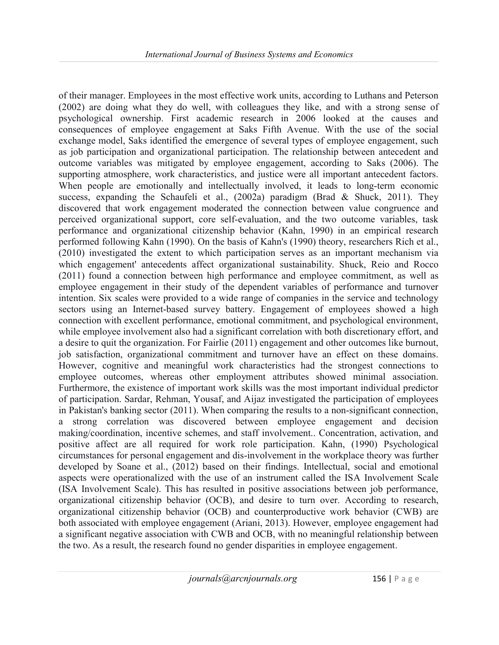of their manager. Employees in the most effective work units, according to Luthans and Peterson (2002) are doing what they do well, with colleagues they like, and with a strong sense of psychological ownership. First academic research in 2006 looked at the causes and consequences of employee engagement at Saks Fifth Avenue. With the use of the social exchange model, Saks identified the emergence of several types of employee engagement, such as job participation and organizational participation. The relationship between antecedent and outcome variables was mitigated by employee engagement, according to Saks (2006). The supporting atmosphere, work characteristics, and justice were all important antecedent factors. When people are emotionally and intellectually involved, it leads to long-term economic success, expanding the Schaufeli et al., (2002a) paradigm (Brad & Shuck, 2011). They discovered that work engagement moderated the connection between value congruence and perceived organizational support, core self-evaluation, and the two outcome variables, task performance and organizational citizenship behavior (Kahn, 1990) in an empirical research performed following Kahn (1990). On the basis of Kahn's (1990) theory, researchers Rich et al., (2010) investigated the extent to which participation serves as an important mechanism via which engagement' antecedents affect organizational sustainability. Shuck, Reio and Rocco (2011) found a connection between high performance and employee commitment, as well as employee engagement in their study of the dependent variables of performance and turnover intention. Six scales were provided to a wide range of companies in the service and technology sectors using an Internet-based survey battery. Engagement of employees showed a high connection with excellent performance, emotional commitment, and psychological environment, while employee involvement also had a significant correlation with both discretionary effort, and a desire to quit the organization. For Fairlie (2011) engagement and other outcomes like burnout, job satisfaction, organizational commitment and turnover have an effect on these domains. However, cognitive and meaningful work characteristics had the strongest connections to employee outcomes, whereas other employment attributes showed minimal association. Furthermore, the existence of important work skills was the most important individual predictor of participation. Sardar, Rehman, Yousaf, and Aijaz investigated the participation of employees in Pakistan's banking sector (2011). When comparing the results to a non-significant connection, a strong correlation was discovered between employee engagement and decision making/coordination, incentive schemes, and staff involvement.. Concentration, activation, and positive affect are all required for work role participation. Kahn, (1990) Psychological circumstances for personal engagement and dis-involvement in the workplace theory was further developed by Soane et al., (2012) based on their findings. Intellectual, social and emotional aspects were operationalized with the use of an instrument called the ISA Involvement Scale (ISA Involvement Scale). This has resulted in positive associations between job performance, organizational citizenship behavior (OCB), and desire to turn over. According to research, organizational citizenship behavior (OCB) and counterproductive work behavior (CWB) are both associated with employee engagement (Ariani, 2013). However, employee engagement had a significant negative association with CWB and OCB, with no meaningful relationship between the two. As a result, the research found no gender disparities in employee engagement.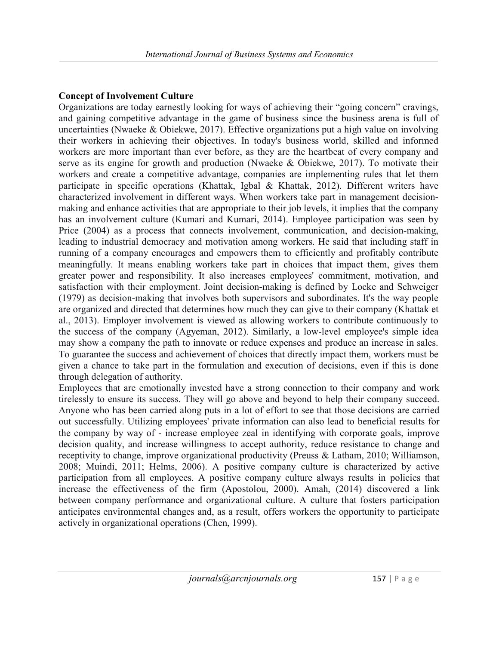# Concept of Involvement Culture

Organizations are today earnestly looking for ways of achieving their "going concern" cravings, and gaining competitive advantage in the game of business since the business arena is full of uncertainties (Nwaeke & Obiekwe, 2017). Effective organizations put a high value on involving their workers in achieving their objectives. In today's business world, skilled and informed workers are more important than ever before, as they are the heartbeat of every company and serve as its engine for growth and production (Nwaeke & Obiekwe, 2017). To motivate their workers and create a competitive advantage, companies are implementing rules that let them participate in specific operations (Khattak, Igbal & Khattak, 2012). Different writers have characterized involvement in different ways. When workers take part in management decisionmaking and enhance activities that are appropriate to their job levels, it implies that the company has an involvement culture (Kumari and Kumari, 2014). Employee participation was seen by Price (2004) as a process that connects involvement, communication, and decision-making, leading to industrial democracy and motivation among workers. He said that including staff in running of a company encourages and empowers them to efficiently and profitably contribute meaningfully. It means enabling workers take part in choices that impact them, gives them greater power and responsibility. It also increases employees' commitment, motivation, and satisfaction with their employment. Joint decision-making is defined by Locke and Schweiger (1979) as decision-making that involves both supervisors and subordinates. It's the way people are organized and directed that determines how much they can give to their company (Khattak et al., 2013). Employer involvement is viewed as allowing workers to contribute continuously to the success of the company (Agyeman, 2012). Similarly, a low-level employee's simple idea may show a company the path to innovate or reduce expenses and produce an increase in sales. To guarantee the success and achievement of choices that directly impact them, workers must be given a chance to take part in the formulation and execution of decisions, even if this is done through delegation of authority.

Employees that are emotionally invested have a strong connection to their company and work tirelessly to ensure its success. They will go above and beyond to help their company succeed. Anyone who has been carried along puts in a lot of effort to see that those decisions are carried out successfully. Utilizing employees' private information can also lead to beneficial results for the company by way of - increase employee zeal in identifying with corporate goals, improve decision quality, and increase willingness to accept authority, reduce resistance to change and receptivity to change, improve organizational productivity (Preuss & Latham, 2010; Williamson, 2008; Muindi, 2011; Helms, 2006). A positive company culture is characterized by active participation from all employees. A positive company culture always results in policies that increase the effectiveness of the firm (Apostolou, 2000). Amah, (2014) discovered a link between company performance and organizational culture. A culture that fosters participation anticipates environmental changes and, as a result, offers workers the opportunity to participate actively in organizational operations (Chen, 1999).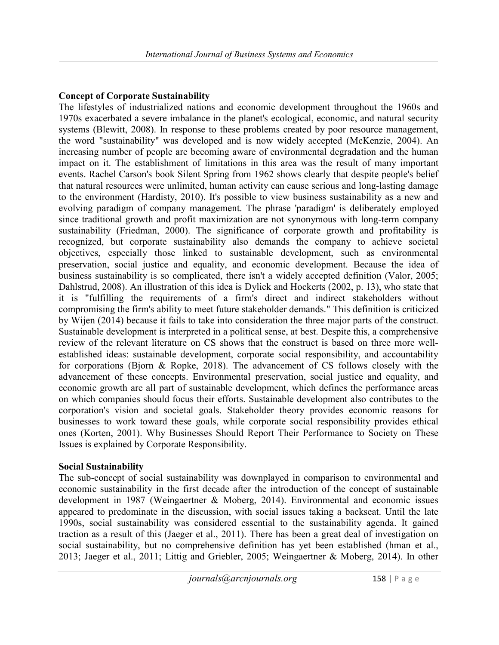# Concept of Corporate Sustainability

The lifestyles of industrialized nations and economic development throughout the 1960s and 1970s exacerbated a severe imbalance in the planet's ecological, economic, and natural security systems (Blewitt, 2008). In response to these problems created by poor resource management, the word "sustainability" was developed and is now widely accepted (McKenzie, 2004). An increasing number of people are becoming aware of environmental degradation and the human impact on it. The establishment of limitations in this area was the result of many important events. Rachel Carson's book Silent Spring from 1962 shows clearly that despite people's belief that natural resources were unlimited, human activity can cause serious and long-lasting damage to the environment (Hardisty, 2010). It's possible to view business sustainability as a new and evolving paradigm of company management. The phrase 'paradigm' is deliberately employed since traditional growth and profit maximization are not synonymous with long-term company sustainability (Friedman, 2000). The significance of corporate growth and profitability is recognized, but corporate sustainability also demands the company to achieve societal objectives, especially those linked to sustainable development, such as environmental preservation, social justice and equality, and economic development. Because the idea of business sustainability is so complicated, there isn't a widely accepted definition (Valor, 2005; Dahlstrud, 2008). An illustration of this idea is Dylick and Hockerts (2002, p. 13), who state that it is "fulfilling the requirements of a firm's direct and indirect stakeholders without compromising the firm's ability to meet future stakeholder demands." This definition is criticized by Wijen (2014) because it fails to take into consideration the three major parts of the construct. Sustainable development is interpreted in a political sense, at best. Despite this, a comprehensive review of the relevant literature on CS shows that the construct is based on three more wellestablished ideas: sustainable development, corporate social responsibility, and accountability for corporations (Bjorn & Ropke, 2018). The advancement of CS follows closely with the advancement of these concepts. Environmental preservation, social justice and equality, and economic growth are all part of sustainable development, which defines the performance areas on which companies should focus their efforts. Sustainable development also contributes to the corporation's vision and societal goals. Stakeholder theory provides economic reasons for businesses to work toward these goals, while corporate social responsibility provides ethical ones (Korten, 2001). Why Businesses Should Report Their Performance to Society on These Issues is explained by Corporate Responsibility.

#### Social Sustainability

The sub-concept of social sustainability was downplayed in comparison to environmental and economic sustainability in the first decade after the introduction of the concept of sustainable development in 1987 (Weingaertner & Moberg, 2014). Environmental and economic issues appeared to predominate in the discussion, with social issues taking a backseat. Until the late 1990s, social sustainability was considered essential to the sustainability agenda. It gained traction as a result of this (Jaeger et al., 2011). There has been a great deal of investigation on social sustainability, but no comprehensive definition has yet been established (hman et al., 2013; Jaeger et al., 2011; Littig and Griebler, 2005; Weingaertner & Moberg, 2014). In other

 $journals@arcnjournals.org$  158 | P a g e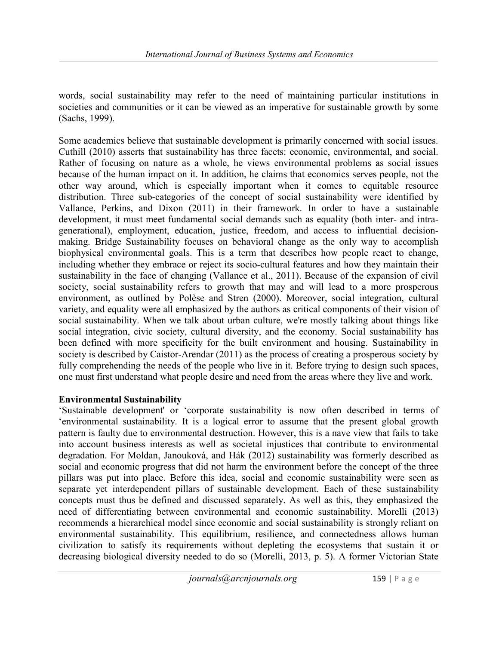words, social sustainability may refer to the need of maintaining particular institutions in societies and communities or it can be viewed as an imperative for sustainable growth by some (Sachs, 1999).

Some academics believe that sustainable development is primarily concerned with social issues. Cuthill (2010) asserts that sustainability has three facets: economic, environmental, and social. Rather of focusing on nature as a whole, he views environmental problems as social issues because of the human impact on it. In addition, he claims that economics serves people, not the other way around, which is especially important when it comes to equitable resource distribution. Three sub-categories of the concept of social sustainability were identified by Vallance, Perkins, and Dixon (2011) in their framework. In order to have a sustainable development, it must meet fundamental social demands such as equality (both inter- and intragenerational), employment, education, justice, freedom, and access to influential decisionmaking. Bridge Sustainability focuses on behavioral change as the only way to accomplish biophysical environmental goals. This is a term that describes how people react to change, including whether they embrace or reject its socio-cultural features and how they maintain their sustainability in the face of changing (Vallance et al., 2011). Because of the expansion of civil society, social sustainability refers to growth that may and will lead to a more prosperous environment, as outlined by Polèse and Stren (2000). Moreover, social integration, cultural variety, and equality were all emphasized by the authors as critical components of their vision of social sustainability. When we talk about urban culture, we're mostly talking about things like social integration, civic society, cultural diversity, and the economy. Social sustainability has been defined with more specificity for the built environment and housing. Sustainability in society is described by Caistor-Arendar (2011) as the process of creating a prosperous society by fully comprehending the needs of the people who live in it. Before trying to design such spaces, one must first understand what people desire and need from the areas where they live and work.

#### Environmental Sustainability

'Sustainable development' or 'corporate sustainability is now often described in terms of 'environmental sustainability. It is a logical error to assume that the present global growth pattern is faulty due to environmental destruction. However, this is a nave view that fails to take into account business interests as well as societal injustices that contribute to environmental degradation. For Moldan, Janouková, and Hák (2012) sustainability was formerly described as social and economic progress that did not harm the environment before the concept of the three pillars was put into place. Before this idea, social and economic sustainability were seen as separate yet interdependent pillars of sustainable development. Each of these sustainability concepts must thus be defined and discussed separately. As well as this, they emphasized the need of differentiating between environmental and economic sustainability. Morelli (2013) recommends a hierarchical model since economic and social sustainability is strongly reliant on environmental sustainability. This equilibrium, resilience, and connectedness allows human civilization to satisfy its requirements without depleting the ecosystems that sustain it or decreasing biological diversity needed to do so (Morelli, 2013, p. 5). A former Victorian State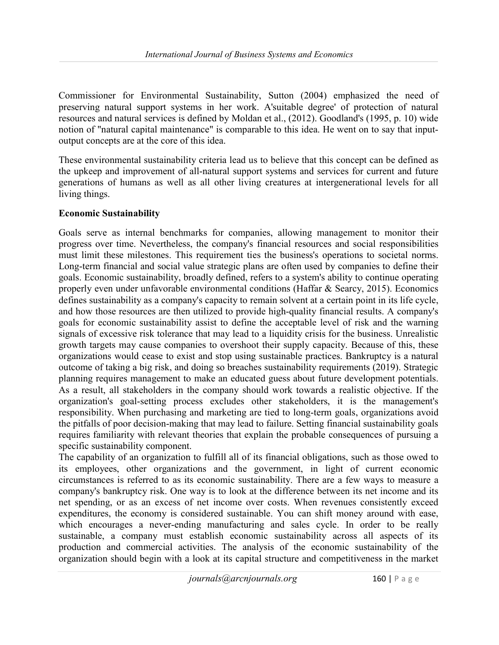Commissioner for Environmental Sustainability, Sutton (2004) emphasized the need of preserving natural support systems in her work. A'suitable degree' of protection of natural resources and natural services is defined by Moldan et al., (2012). Goodland's (1995, p. 10) wide notion of "natural capital maintenance" is comparable to this idea. He went on to say that inputoutput concepts are at the core of this idea.

These environmental sustainability criteria lead us to believe that this concept can be defined as the upkeep and improvement of all-natural support systems and services for current and future generations of humans as well as all other living creatures at intergenerational levels for all living things.

#### Economic Sustainability

Goals serve as internal benchmarks for companies, allowing management to monitor their progress over time. Nevertheless, the company's financial resources and social responsibilities must limit these milestones. This requirement ties the business's operations to societal norms. Long-term financial and social value strategic plans are often used by companies to define their goals. Economic sustainability, broadly defined, refers to a system's ability to continue operating properly even under unfavorable environmental conditions (Haffar & Searcy, 2015). Economics defines sustainability as a company's capacity to remain solvent at a certain point in its life cycle, and how those resources are then utilized to provide high-quality financial results. A company's goals for economic sustainability assist to define the acceptable level of risk and the warning signals of excessive risk tolerance that may lead to a liquidity crisis for the business. Unrealistic growth targets may cause companies to overshoot their supply capacity. Because of this, these organizations would cease to exist and stop using sustainable practices. Bankruptcy is a natural outcome of taking a big risk, and doing so breaches sustainability requirements (2019). Strategic planning requires management to make an educated guess about future development potentials. As a result, all stakeholders in the company should work towards a realistic objective. If the organization's goal-setting process excludes other stakeholders, it is the management's responsibility. When purchasing and marketing are tied to long-term goals, organizations avoid the pitfalls of poor decision-making that may lead to failure. Setting financial sustainability goals requires familiarity with relevant theories that explain the probable consequences of pursuing a specific sustainability component.

The capability of an organization to fulfill all of its financial obligations, such as those owed to its employees, other organizations and the government, in light of current economic circumstances is referred to as its economic sustainability. There are a few ways to measure a company's bankruptcy risk. One way is to look at the difference between its net income and its net spending, or as an excess of net income over costs. When revenues consistently exceed expenditures, the economy is considered sustainable. You can shift money around with ease, which encourages a never-ending manufacturing and sales cycle. In order to be really sustainable, a company must establish economic sustainability across all aspects of its production and commercial activities. The analysis of the economic sustainability of the organization should begin with a look at its capital structure and competitiveness in the market

journals@arcnjournals.org 160 | P a g e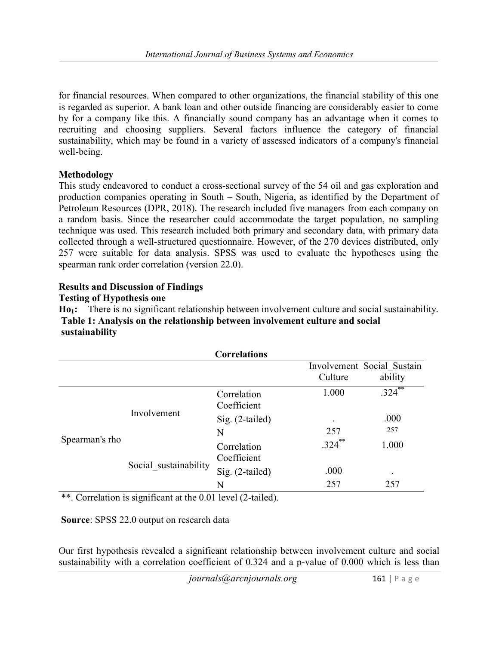for financial resources. When compared to other organizations, the financial stability of this one is regarded as superior. A bank loan and other outside financing are considerably easier to come by for a company like this. A financially sound company has an advantage when it comes to recruiting and choosing suppliers. Several factors influence the category of financial sustainability, which may be found in a variety of assessed indicators of a company's financial well-being.

#### Methodology

This study endeavored to conduct a cross-sectional survey of the 54 oil and gas exploration and production companies operating in South – South, Nigeria, as identified by the Department of Petroleum Resources (DPR, 2018). The research included five managers from each company on a random basis. Since the researcher could accommodate the target population, no sampling technique was used. This research included both primary and secondary data, with primary data collected through a well-structured questionnaire. However, of the 270 devices distributed, only 257 were suitable for data analysis. SPSS was used to evaluate the hypotheses using the spearman rank order correlation (version 22.0).

## Results and Discussion of Findings

#### Testing of Hypothesis one

Ho<sub>1</sub>: There is no significant relationship between involvement culture and social sustainability. Table 1: Analysis on the relationship between involvement culture and social sustainability

|                |                       | <b>Correlations</b>        |           |                            |
|----------------|-----------------------|----------------------------|-----------|----------------------------|
|                |                       |                            |           | Involvement Social Sustain |
|                |                       |                            | Culture   | ability                    |
| Spearman's rho | Involvement           | Correlation<br>Coefficient | 1.000     | $.324$ **                  |
|                |                       | Sig. (2-tailed)            | ٠         | .000                       |
|                |                       | N                          | 257       | 257                        |
|                | Social sustainability | Correlation<br>Coefficient | $.324$ ** | 1.000                      |
|                |                       | Sig. (2-tailed)            | .000      | ٠                          |
|                |                       | N                          | 257       | 257                        |

\*\*. Correlation is significant at the 0.01 level (2-tailed).

Source: SPSS 22.0 output on research data

Our first hypothesis revealed a significant relationship between involvement culture and social sustainability with a correlation coefficient of 0.324 and a p-value of 0.000 which is less than

 $journals@arrow$ *iournals@arcnjournals.org* 161 | P a g e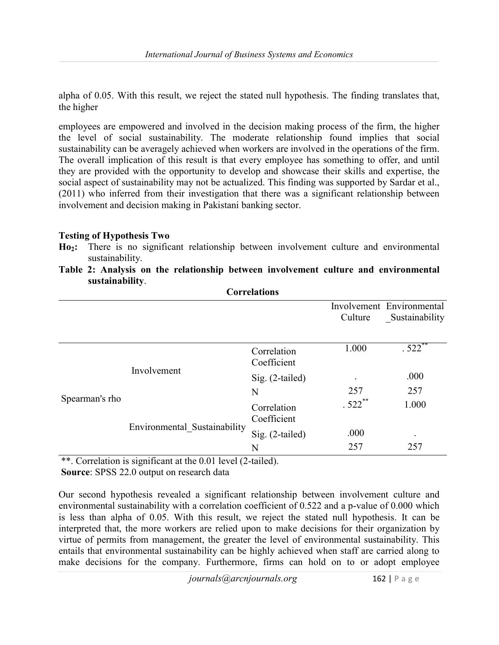alpha of 0.05. With this result, we reject the stated null hypothesis. The finding translates that, the higher

employees are empowered and involved in the decision making process of the firm, the higher the level of social sustainability. The moderate relationship found implies that social sustainability can be averagely achieved when workers are involved in the operations of the firm. The overall implication of this result is that every employee has something to offer, and until they are provided with the opportunity to develop and showcase their skills and expertise, the social aspect of sustainability may not be actualized. This finding was supported by Sardar et al., (2011) who inferred from their investigation that there was a significant relationship between involvement and decision making in Pakistani banking sector.

#### Testing of Hypothesis Two

- Ho<sub>2</sub>: There is no significant relationship between involvement culture and environmental sustainability.
- Table 2: Analysis on the relationship between involvement culture and environmental sustainability. Correlations

| CULLUMUUL      |                              |                            |           |                           |  |  |  |
|----------------|------------------------------|----------------------------|-----------|---------------------------|--|--|--|
|                |                              |                            |           | Involvement Environmental |  |  |  |
|                |                              |                            | Culture   | Sustainability            |  |  |  |
|                |                              |                            |           |                           |  |  |  |
| Spearman's rho | Involvement                  | Correlation<br>Coefficient | 1.000     | $.522$ **                 |  |  |  |
|                |                              | $Sig. (2-tailed)$          |           | .000                      |  |  |  |
|                |                              | N                          | 257       | 257                       |  |  |  |
|                | Environmental Sustainability | Correlation<br>Coefficient | $.522***$ | 1.000                     |  |  |  |
|                |                              | Sig. (2-tailed)            | .000      | $\bullet$                 |  |  |  |
|                |                              | N                          | 257       | 257                       |  |  |  |

\*\*. Correlation is significant at the 0.01 level (2-tailed).

Source: SPSS 22.0 output on research data

Our second hypothesis revealed a significant relationship between involvement culture and environmental sustainability with a correlation coefficient of 0.522 and a p-value of 0.000 which is less than alpha of 0.05. With this result, we reject the stated null hypothesis. It can be interpreted that, the more workers are relied upon to make decisions for their organization by virtue of permits from management, the greater the level of environmental sustainability. This entails that environmental sustainability can be highly achieved when staff are carried along to make decisions for the company. Furthermore, firms can hold on to or adopt employee

journals@arcnjournals.org 162 | P a g e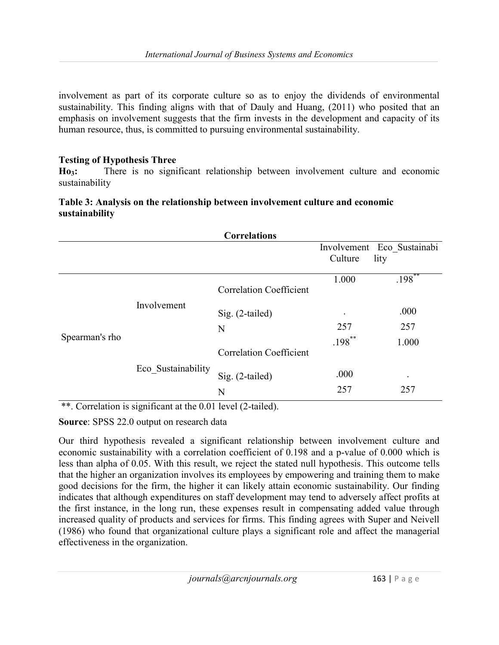involvement as part of its corporate culture so as to enjoy the dividends of environmental sustainability. This finding aligns with that of Dauly and Huang, (2011) who posited that an emphasis on involvement suggests that the firm invests in the development and capacity of its human resource, thus, is committed to pursuing environmental sustainability.

# Testing of Hypothesis Three

Ho3: There is no significant relationship between involvement culture and economic sustainability

## Table 3: Analysis on the relationship between involvement culture and economic sustainability

| <b>Correlations</b> |                    |                                |             |                            |  |  |
|---------------------|--------------------|--------------------------------|-------------|----------------------------|--|--|
|                     |                    |                                |             | Involvement Eco Sustainabi |  |  |
|                     |                    |                                | Culture     | lity                       |  |  |
| Spearman's rho      | Involvement        | <b>Correlation Coefficient</b> | 1.000       | $.198***$                  |  |  |
|                     |                    | $Sig. (2-tailed)$              | $\bullet$   | .000                       |  |  |
|                     |                    | N                              | 257         | 257                        |  |  |
|                     | Eco Sustainability | <b>Correlation Coefficient</b> | $.198***$   | 1.000                      |  |  |
|                     |                    | $Sig. (2-tailed)$<br>N         | .000<br>257 | 257                        |  |  |
|                     |                    |                                |             |                            |  |  |

\*\*. Correlation is significant at the 0.01 level (2-tailed).

# Source: SPSS 22.0 output on research data

Our third hypothesis revealed a significant relationship between involvement culture and economic sustainability with a correlation coefficient of 0.198 and a p-value of 0.000 which is less than alpha of 0.05. With this result, we reject the stated null hypothesis. This outcome tells that the higher an organization involves its employees by empowering and training them to make good decisions for the firm, the higher it can likely attain economic sustainability. Our finding indicates that although expenditures on staff development may tend to adversely affect profits at the first instance, in the long run, these expenses result in compensating added value through increased quality of products and services for firms. This finding agrees with Super and Neivell (1986) who found that organizational culture plays a significant role and affect the managerial effectiveness in the organization.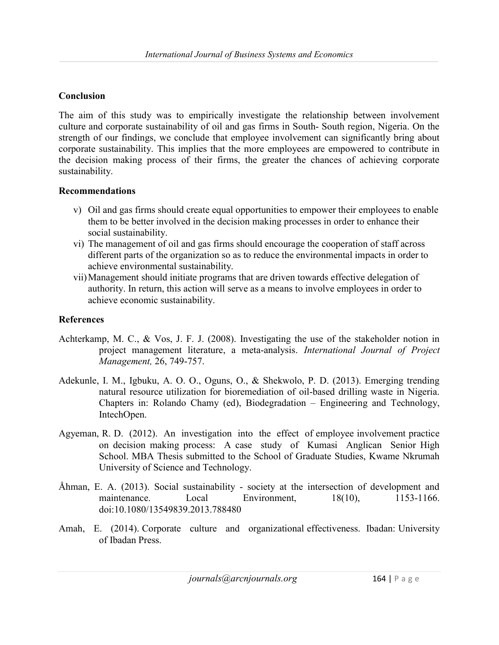## Conclusion

The aim of this study was to empirically investigate the relationship between involvement culture and corporate sustainability of oil and gas firms in South- South region, Nigeria. On the strength of our findings, we conclude that employee involvement can significantly bring about corporate sustainability. This implies that the more employees are empowered to contribute in the decision making process of their firms, the greater the chances of achieving corporate sustainability.

#### Recommendations

- v) Oil and gas firms should create equal opportunities to empower their employees to enable them to be better involved in the decision making processes in order to enhance their social sustainability.
- vi) The management of oil and gas firms should encourage the cooperation of staff across different parts of the organization so as to reduce the environmental impacts in order to achieve environmental sustainability.
- vii)Management should initiate programs that are driven towards effective delegation of authority. In return, this action will serve as a means to involve employees in order to achieve economic sustainability.

## References

- Achterkamp, M. C., & Vos, J. F. J. (2008). Investigating the use of the stakeholder notion in project management literature, a meta-analysis. International Journal of Project Management, 26, 749-757.
- Adekunle, I. M., Igbuku, A. O. O., Oguns, O., & Shekwolo, P. D. (2013). Emerging trending natural resource utilization for bioremediation of oil-based drilling waste in Nigeria. Chapters in: Rolando Chamy (ed), Biodegradation – Engineering and Technology, IntechOpen.
- Agyeman, R. D. (2012). An investigation into the effect of employee involvement practice on decision making process: A case study of Kumasi Anglican Senior High School. MBA Thesis submitted to the School of Graduate Studies, Kwame Nkrumah University of Science and Technology.
- Åhman, E. A. (2013). Social sustainability society at the intersection of development and maintenance. Local Environment, 18(10), 1153-1166. doi:10.1080/13549839.2013.788480
- Amah, E. (2014). Corporate culture and organizational effectiveness. Ibadan: University of Ibadan Press.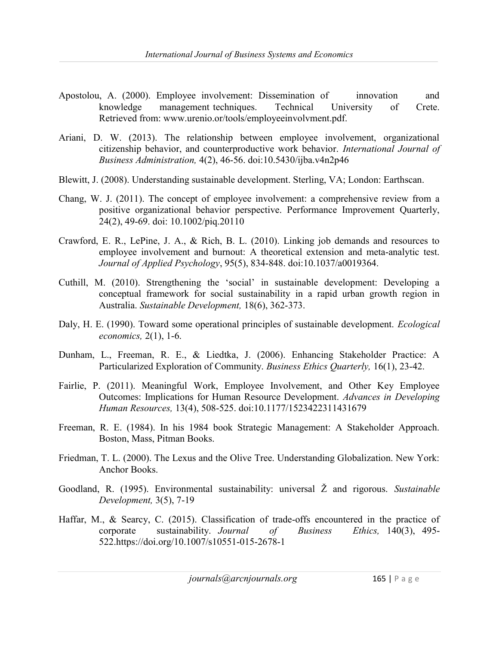- Apostolou, A. (2000). Employee involvement: Dissemination of innovation and knowledge management techniques. Technical University of Crete. Retrieved from: www.urenio.or/tools/employeeinvolvment.pdf.
- Ariani, D. W. (2013). The relationship between employee involvement, organizational citizenship behavior, and counterproductive work behavior. International Journal of Business Administration, 4(2), 46-56. doi:10.5430/ijba.v4n2p46
- Blewitt, J. (2008). Understanding sustainable development. Sterling, VA; London: Earthscan.
- Chang, W. J. (2011). The concept of employee involvement: a comprehensive review from a positive organizational behavior perspective. Performance Improvement Quarterly, 24(2), 49-69. doi: 10.1002/piq.20110
- Crawford, E. R., LePine, J. A., & Rich, B. L. (2010). Linking job demands and resources to employee involvement and burnout: A theoretical extension and meta-analytic test. Journal of Applied Psychology, 95(5), 834-848. doi:10.1037/a0019364.
- Cuthill, M. (2010). Strengthening the 'social' in sustainable development: Developing a conceptual framework for social sustainability in a rapid urban growth region in Australia. Sustainable Development, 18(6), 362-373.
- Daly, H. E. (1990). Toward some operational principles of sustainable development. Ecological economics, 2(1), 1-6.
- Dunham, L., Freeman, R. E., & Liedtka, J. (2006). Enhancing Stakeholder Practice: A Particularized Exploration of Community. Business Ethics Quarterly, 16(1), 23-42.
- Fairlie, P. (2011). Meaningful Work, Employee Involvement, and Other Key Employee Outcomes: Implications for Human Resource Development. Advances in Developing Human Resources, 13(4), 508-525. doi:10.1177/1523422311431679
- Freeman, R. E. (1984). In his 1984 book Strategic Management: A Stakeholder Approach. Boston, Mass, Pitman Books.
- Friedman, T. L. (2000). The Lexus and the Olive Tree. Understanding Globalization. New York: Anchor Books.
- Goodland, R. (1995). Environmental sustainability: universal  $\check{Z}$  and rigorous. Sustainable Development, 3(5), 7-19
- Haffar, M., & Searcy, C. (2015). Classification of trade-offs encountered in the practice of corporate sustainability. Journal of Business Ethics, 140(3), 495- 522.https://doi.org/10.1007/s10551-015-2678-1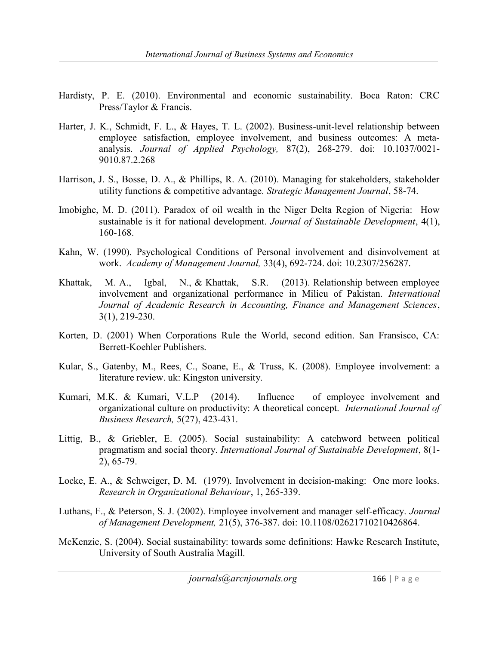- Hardisty, P. E. (2010). Environmental and economic sustainability. Boca Raton: CRC Press/Taylor & Francis.
- Harter, J. K., Schmidt, F. L., & Hayes, T. L. (2002). Business-unit-level relationship between employee satisfaction, employee involvement, and business outcomes: A metaanalysis. Journal of Applied Psychology, 87(2), 268-279. doi: 10.1037/0021- 9010.87.2.268
- Harrison, J. S., Bosse, D. A., & Phillips, R. A. (2010). Managing for stakeholders, stakeholder utility functions & competitive advantage. Strategic Management Journal, 58-74.
- Imobighe, M. D. (2011). Paradox of oil wealth in the Niger Delta Region of Nigeria: How sustainable is it for national development. Journal of Sustainable Development, 4(1), 160-168.
- Kahn, W. (1990). Psychological Conditions of Personal involvement and disinvolvement at work. Academy of Management Journal, 33(4), 692-724. doi: 10.2307/256287.
- Khattak, M. A., Igbal, N., & Khattak, S.R. (2013). Relationship between employee involvement and organizational performance in Milieu of Pakistan. International Journal of Academic Research in Accounting, Finance and Management Sciences, 3(1), 219-230.
- Korten, D. (2001) When Corporations Rule the World, second edition. San Fransisco, CA: Berrett-Koehler Publishers.
- Kular, S., Gatenby, M., Rees, C., Soane, E., & Truss, K. (2008). Employee involvement: a literature review. uk: Kingston university.
- Kumari, M.K. & Kumari, V.L.P (2014). Influence of employee involvement and organizational culture on productivity: A theoretical concept. International Journal of Business Research, 5(27), 423-431.
- Littig, B., & Griebler, E. (2005). Social sustainability: A catchword between political pragmatism and social theory. International Journal of Sustainable Development, 8(1- 2), 65-79.
- Locke, E. A., & Schweiger, D. M. (1979). Involvement in decision-making: One more looks. Research in Organizational Behaviour, 1, 265-339.
- Luthans, F., & Peterson, S. J. (2002). Employee involvement and manager self-efficacy. Journal of Management Development, 21(5), 376-387. doi: 10.1108/02621710210426864.
- McKenzie, S. (2004). Social sustainability: towards some definitions: Hawke Research Institute, University of South Australia Magill.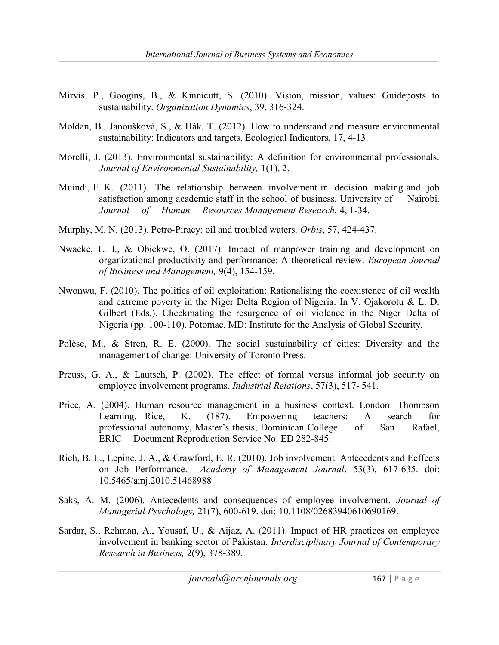- Mirvis, P., Googins, B., & Kinnicutt, S. (2010). Vision, mission, values: Guideposts to sustainability. Organization Dynamics, 39, 316-324.
- Moldan, B., Janoušková, S., & Hák, T. (2012). How to understand and measure environmental sustainability: Indicators and targets. Ecological Indicators, 17, 4-13.
- Morelli, J. (2013). Environmental sustainability: A definition for environmental professionals. Journal of Environmental Sustainability, 1(1), 2.
- Muindi, F. K. (2011). The relationship between involvement in decision making and job satisfaction among academic staff in the school of business, University of Nairobi. Journal of Human Resources Management Research. 4, 1-34.
- Murphy, M. N. (2013). Petro-Piracy: oil and troubled waters. Orbis, 57, 424-437.
- Nwaeke, L. I., & Obiekwe, O. (2017). Impact of manpower training and development on organizational productivity and performance: A theoretical review. European Journal of Business and Management, 9(4), 154-159.
- Nwonwu, F. (2010). The politics of oil exploitation: Rationalising the coexistence of oil wealth and extreme poverty in the Niger Delta Region of Nigeria. In V. Ojakorotu & L. D. Gilbert (Eds.). Checkmating the resurgence of oil violence in the Niger Delta of Nigeria (pp. 100-110). Potomac, MD: Institute for the Analysis of Global Security.
- Polèse, M., & Stren, R. E. (2000). The social sustainability of cities: Diversity and the management of change: University of Toronto Press.
- Preuss, G. A., & Lautsch, P. (2002). The effect of formal versus informal job security on employee involvement programs. *Industrial Relations*, 57(3), 517-541.
- Price, A. (2004). Human resource management in a business context. London: Thompson Learning. Rice, K. (187). Empowering teachers: A search for professional autonomy, Master's thesis, Dominican College of San Rafael, ERIC Document Reproduction Service No. ED 282-845.
- Rich, B. L., Lepine, J. A., & Crawford, E. R. (2010). Job involvement: Antecedents and Eeffects on Job Performance. Academy of Management Journal, 53(3), 617-635. doi: 10.5465/amj.2010.51468988
- Saks, A. M. (2006). Antecedents and consequences of employee involvement. Journal of Managerial Psychology, 21(7), 600-619. doi: 10.1108/02683940610690169.
- Sardar, S., Rehman, A., Yousaf, U., & Aijaz, A. (2011). Impact of HR practices on employee involvement in banking sector of Pakistan. Interdisciplinary Journal of Contemporary Research in Business, 2(9), 378-389.